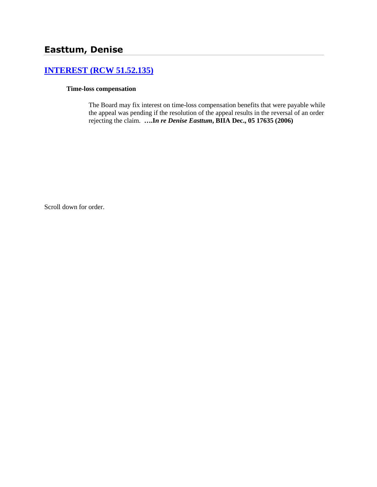## **[INTEREST \(RCW 51.52.135\)](http://www.biia.wa.gov/SDSubjectIndex.html#INTEREST)**

## **Time-loss compensation**

The Board may fix interest on time-loss compensation benefits that were payable while the appeal was pending if the resolution of the appeal results in the reversal of an order rejecting the claim. **….I***n re Denise Easttum***, BIIA Dec., 05 17635 (2006)**

Scroll down for order.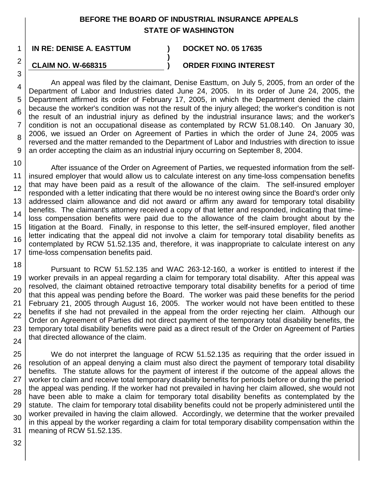## **BEFORE THE BOARD OF INDUSTRIAL INSURANCE APPEALS STATE OF WASHINGTON**

**)**

**IN RE: DENISE A. EASTTUM ) DOCKET NO. 05 17635**

## **CLAIM NO. W-668315**

1

2

3

**) ORDER FIXING INTEREST**

4 5 6 7 8 9 An appeal was filed by the claimant, Denise Easttum, on July 5, 2005, from an order of the Department of Labor and Industries dated June 24, 2005. In its order of June 24, 2005, the Department affirmed its order of February 17, 2005, in which the Department denied the claim because the worker's condition was not the result of the injury alleged; the worker's condition is not the result of an industrial injury as defined by the industrial insurance laws; and the worker's condition is not an occupational disease as contemplated by RCW 51.08.140. On January 30, 2006, we issued an Order on Agreement of Parties in which the order of June 24, 2005 was reversed and the matter remanded to the Department of Labor and Industries with direction to issue an order accepting the claim as an industrial injury occurring on September 8, 2004.

10 11 12 13 14 15 16 17 After issuance of the Order on Agreement of Parties, we requested information from the selfinsured employer that would allow us to calculate interest on any time-loss compensation benefits that may have been paid as a result of the allowance of the claim. The self-insured employer responded with a letter indicating that there would be no interest owing since the Board's order only addressed claim allowance and did not award or affirm any award for temporary total disability benefits. The claimant's attorney received a copy of that letter and responded, indicating that timeloss compensation benefits were paid due to the allowance of the claim brought about by the litigation at the Board. Finally, in response to this letter, the self-insured employer, filed another letter indicating that the appeal did not involve a claim for temporary total disability benefits as contemplated by RCW 51.52.135 and, therefore, it was inappropriate to calculate interest on any time-loss compensation benefits paid.

18 19 20 21 22 23 24 Pursuant to RCW 51.52.135 and WAC 263-12-160, a worker is entitled to interest if the worker prevails in an appeal regarding a claim for temporary total disability. After this appeal was resolved, the claimant obtained retroactive temporary total disability benefits for a period of time that this appeal was pending before the Board. The worker was paid these benefits for the period February 21, 2005 through August 16, 2005. The worker would not have been entitled to these benefits if she had not prevailed in the appeal from the order rejecting her claim. Although our Order on Agreement of Parties did not direct payment of the temporary total disability benefits, the temporary total disability benefits were paid as a direct result of the Order on Agreement of Parties that directed allowance of the claim.

25 26 27 28 29 30 31 We do not interpret the language of RCW 51.52.135 as requiring that the order issued in resolution of an appeal denying a claim must also direct the payment of temporary total disability benefits. The statute allows for the payment of interest if the outcome of the appeal allows the worker to claim and receive total temporary disability benefits for periods before or during the period the appeal was pending. If the worker had not prevailed in having her claim allowed, she would not have been able to make a claim for temporary total disability benefits as contemplated by the statute. The claim for temporary total disability benefits could not be properly administered until the worker prevailed in having the claim allowed. Accordingly, we determine that the worker prevailed in this appeal by the worker regarding a claim for total temporary disability compensation within the meaning of RCW 51.52.135.

32